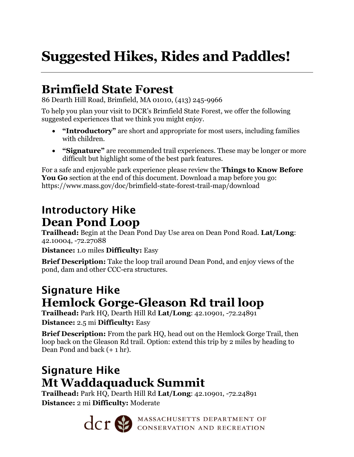# **Suggested Hikes, Rides and Paddles!**

## **Brimfield State Forest**

86 Dearth Hill Road, Brimfield, MA 01010, (413) 245-9966

To help you plan your visit to DCR's Brimfield State Forest, we offer the following suggested experiences that we think you might enjoy.

- **"Introductory"** are short and appropriate for most users, including families with children.
- **"Signature"** are recommended trail experiences. These may be longer or more difficult but highlight some of the best park features.

For a safe and enjoyable park experience please review the **Things to Know Before You Go** section at the end of this document. Download a map before you go: https://www.mass.gov/doc/brimfield-state-forest-trail-map/download

### Introductory Hike **Dean Pond Loop**

**Trailhead:** Begin at the Dean Pond Day Use area on Dean Pond Road. **Lat/Long**: 42.10004, -72.27088

**Distance:** 1.0 miles **Difficulty:** Easy

**Brief Description:** Take the loop trail around Dean Pond, and enjoy views of the pond, dam and other CCC-era structures.

### Signature Hike **Hemlock Gorge-Gleason Rd trail loop**

**Trailhead:** Park HQ, Dearth Hill Rd **Lat/Long**: 42.10901, -72.24891 **Distance:** 2.5 mi **Difficulty:** Easy

**Brief Description:** From the park HQ, head out on the Hemlock Gorge Trail, then loop back on the Gleason Rd trail. Option: extend this trip by 2 miles by heading to Dean Pond and back (+ 1 hr).

## Signature Hike **Mt Waddaquaduck Summit**

**Trailhead:** Park HQ, Dearth Hill Rd **Lat/Long**: 42.10901, -72.24891 **Distance:** 2 mi **Difficulty:** Moderate

CCT SO MASSACHUSETTS DEPARTMENT OF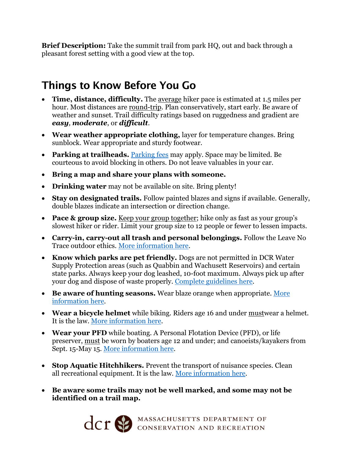**Brief Description:** Take the summit trail from park HQ, out and back through a pleasant forest setting with a good view at the top.

#### Things to Know Before You Go

- **Time, distance, difficulty.** The average hiker pace is estimated at 1.5 miles per hour. Most distances are round-trip. Plan conservatively, start early. Be aware of weather and sunset. Trail difficulty ratings based on ruggedness and gradient are *easy, moderate*, or *difficult*.
- **Wear weather appropriate clothing,** layer for temperature changes. Bring sunblock. Wear appropriate and sturdy footwear.
- **Parking at trailheads.** [Parking fees](https://www.mass.gov/guides/parking-at-massachusetts-state-parks) may apply. Space may be limited. Be courteous to avoid blocking in others. Do not leave valuables in your car.
- **Bring a map and share your plans with someone.**
- **Drinking water** may not be available on site. Bring plenty!
- **Stay on designated trails.** Follow painted blazes and signs if available. Generally, double blazes indicate an intersection or direction change.
- **Pace & group size.** Keep your group together; hike only as fast as your group's slowest hiker or rider. Limit your group size to 12 people or fewer to lessen impacts.
- **Carry-in, carry-out all trash and personal belongings.** Follow the Leave No Trace outdoor ethics. [More information](https://lnt.org/why/7-principles/) here.
- **Know which parks are pet friendly.** Dogs are not permitted in DCR Water Supply Protection areas (such as Quabbin and Wachusett Reservoirs) and certain state parks. Always keep your dog leashed, 10-foot maximum. Always pick up after your dog and dispose of waste properly. [Complete guidelines](https://www.mass.gov/guides/dogs-in-dcr-parks) here.
- **Be aware of hunting seasons.** Wear blaze orange when appropriate. [More](https://www.mass.gov/hunting-regulations)  [information](https://www.mass.gov/hunting-regulations) here.
- **Wear a bicycle helmet** while biking. Riders age 16 and under mustwear a helmet. It is the law. [More information here.](https://www.mass.gov/info-details/massachusetts-law-about-bicycles)
- **Wear your PFD** while boating. A Personal Flotation Device (PFD), or life preserver, must be worn by boaters age 12 and under; and canoeists/kayakers from Sept. 15-May 15. [More information here.](https://www.mass.gov/service-details/boating-safety)
- **Stop Aquatic Hitchhikers.** Prevent the transport of nuisance species. Clean all recreational equipment. It is the law. [More information here.](https://www.mass.gov/doc/stop-aquatic-hitchhikers-handout/download)
- **Be aware some trails may not be well marked, and some may not be identified on a trail map.**